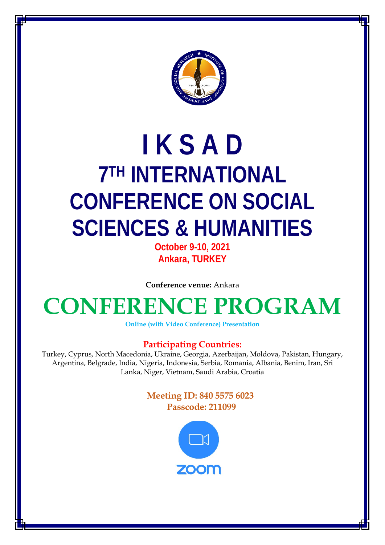

# **I K S A D 7TH INTERNATIONAL CONFERENCE ON SOCIAL SCIENCES & HUMANITIES**

**October 9-10, 2021 Ankara, TURKEY**

**Conference venue:** Ankara

## **CONFERENCE PROGRAM**

**Online (with Video Conference) Presentation**

### **Participating Countries:**

Turkey, Cyprus, North Macedonia, Ukraine, Georgia, Azerbaijan, Moldova, Pakistan, Hungary, Argentina, Belgrade, India, Nigeria, Indonesia, Serbia, Romania, Albania, Benim, Iran, Sri Lanka, Niger, Vietnam, Saudi Arabia, Croatia

### **Meeting ID: 840 5575 6023 Passcode: 211099**

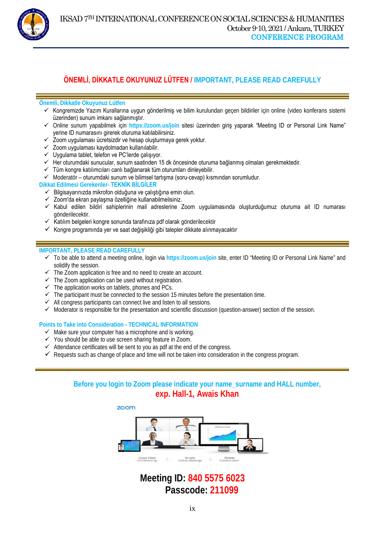

### **ÖNEMLİ, DİKKATLE OKUYUNUZ LÜTFEN / IMPORTANT, PLEASE READ CAREFULLY**

 $\overline{a}$ 

### **Önemli, Dikkatle Okuyunuz Lütfen**

- $\checkmark$  Kongremizde Yazım Kurallarına uygun gönderilmiş ve bilim kurulundan geçen bildiriler için online (video konferans sistemi üzerinden) sunum imkanı sağlanmıştır.
- Online sunum yapabilmek için **https://zoom.us/join** sitesi üzerinden giriş yaparak "Meeting ID or Personal Link Name" yerine ID numarasını girerek oturuma katılabilirsiniz.
- $\checkmark$  Zoom uygulaması ücretsizdir ve hesap oluşturmaya gerek yoktur.
- $\checkmark$  Zoom uygulaması kaydolmadan kullanılabilir.
- $\checkmark$  Uygulama tablet, telefon ve PC'lerde çalışıyor.
- Her oturumdaki sunucular, sunum saatinden 15 dk öncesinde oturuma bağlanmış olmaları gerekmektedir.
- $\checkmark$  Tüm kongre katılımcıları canlı bağlanarak tüm oturumları dinleyebilir.
- $\checkmark$  Moderatör oturumdaki sunum ve bilimsel tartışma (soru-cevap) kısmından sorumludur.

#### **Dikkat Edilmesi Gerekenler- TEKNİK BİLGİLER**

- $\checkmark$  Bilgisayarınızda mikrofon olduğuna ve çalıştığına emin olun.
- Zoom'da ekran paylaşma özelliğine kullanabilmelisiniz.
- Kabul edilen bildiri sahiplerinin mail adreslerine Zoom uygulamasında oluşturduğumuz oturuma ait ID numarası gönderilecektir.
- $\checkmark$  Katılım belgeleri kongre sonunda tarafınıza pdf olarak gönderilecektir
- Kongre programında yer ve saat değişikliği gibi talepler dikkate alınmayacaktır

### **IMPORTANT, PLEASE READ CAREFULLY**

- To be able to attend a meeting online, login via **https://zoom.us/join** site, enter ID "Meeting ID or Personal Link Name" and solidify the session.
- $\checkmark$  The Zoom application is free and no need to create an account.
- $\checkmark$  The Zoom application can be used without registration.
- The application works on tablets, phones and PCs.
- $\checkmark$  The participant must be connected to the session 15 minutes before the presentation time.
- $\checkmark$  All congress participants can connect live and listen to all sessions.
- $\checkmark$  Moderator is responsible for the presentation and scientific discussion (question-answer) section of the session.

#### **Points to Take into Consideration - TECHNICAL INFORMATION**

- $\checkmark$  Make sure your computer has a microphone and is working.
- $\checkmark$  You should be able to use screen sharing feature in Zoom.
- $\checkmark$  Attendance certificates will be sent to you as pdf at the end of the congress.
- $\checkmark$  Requests such as change of place and time will not be taken into consideration in the congress program.

### **Before you login to Zoom please indicate your name\_surname and HALL number, exp. Hall-1, Awais Khan**



### **Meeting ID: 840 5575 6023 Passcode: 211099**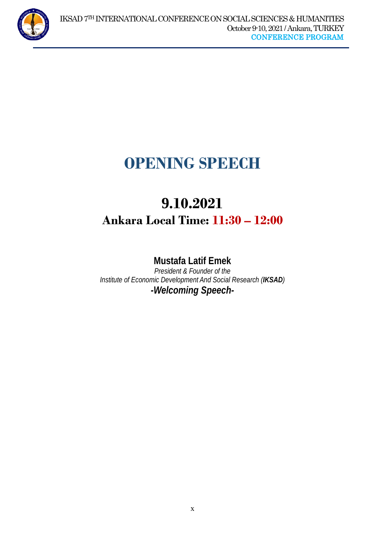

 $\overline{a}$ 

## **OPENING SPEECH**

## **9.10.2021 Ankara Local Time: 11:30 – 12:00**

### **Mustafa Latif Emek**

*President & Founder of the Institute of Economic Development And Social Research (IKSAD) -Welcoming Speech-*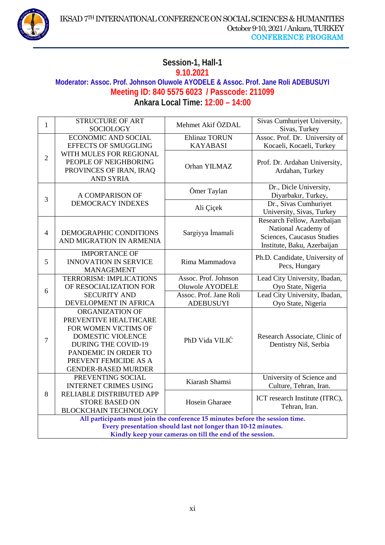

### **Session-1, Hall-1 9.10.2021 Moderator: Assoc. Prof. Johnson Oluwole AYODELE & Assoc. Prof. Jane Roli ADEBUSUYI Meeting ID: 840 5575 6023 / Passcode: 211099 Ankara Local Time: 12:00 – 14:00**

| $\mathbf{1}$                                                                  | <b>STRUCTURE OF ART</b><br><b>SOCIOLOGY</b>                                                                                                                                                        | Mehmet Akif ÖZDAL      | Sivas Cumhuriyet University,<br>Sivas, Turkey                                                                   |
|-------------------------------------------------------------------------------|----------------------------------------------------------------------------------------------------------------------------------------------------------------------------------------------------|------------------------|-----------------------------------------------------------------------------------------------------------------|
|                                                                               | <b>ECONOMIC AND SOCIAL</b>                                                                                                                                                                         | <b>Ehlinaz TORUN</b>   | Assoc. Prof. Dr. University of                                                                                  |
| $\overline{2}$                                                                | <b>EFFECTS OF SMUGGLING</b>                                                                                                                                                                        | <b>KAYABASI</b>        | Kocaeli, Kocaeli, Turkey                                                                                        |
|                                                                               | WITH MULES FOR REGIONAL<br>PEOPLE OF NEIGHBORING<br>PROVINCES OF IRAN, IRAQ<br><b>AND SYRIA</b>                                                                                                    | Orhan YILMAZ           | Prof. Dr. Ardahan University,<br>Ardahan, Turkey                                                                |
| 3                                                                             | A COMPARISON OF<br><b>DEMOCRACY INDEXES</b>                                                                                                                                                        | Ömer Taylan            | Dr., Dicle University,<br>Diyarbakır, Turkey,                                                                   |
|                                                                               |                                                                                                                                                                                                    | Ali Çiçek              | Dr., Sivas Cumhuriyet<br>University, Sivas, Turkey                                                              |
| $\overline{4}$                                                                | DEMOGRAPHIC CONDITIONS<br>AND MIGRATION IN ARMENIA                                                                                                                                                 | Sargiyya İmamali       | Research Fellow, Azerbaijan<br>National Academy of<br>Sciences, Caucasus Studies<br>Institute, Baku, Azerbaijan |
| 5                                                                             | <b>IMPORTANCE OF</b><br><b>INNOVATION IN SERVICE</b><br><b>MANAGEMENT</b>                                                                                                                          | Rima Mammadova         | Ph.D. Candidate, University of<br>Pecs, Hungary                                                                 |
|                                                                               | <b>TERRORISM: IMPLICATIONS</b>                                                                                                                                                                     | Assoc. Prof. Johnson   | Lead City University, Ibadan,                                                                                   |
| 6                                                                             | OF RESOCIALIZATION FOR                                                                                                                                                                             | Oluwole AYODELE        | Oyo State, Nigeria                                                                                              |
|                                                                               | <b>SECURITY AND</b>                                                                                                                                                                                | Assoc. Prof. Jane Roli | Lead City University, Ibadan,                                                                                   |
|                                                                               | DEVELOPMENT IN AFRICA                                                                                                                                                                              | <b>ADEBUSUYI</b>       | Oyo State, Nigeria                                                                                              |
| $\overline{7}$                                                                | ORGANIZATION OF<br>PREVENTIVE HEALTHCARE<br>FOR WOMEN VICTIMS OF<br>DOMESTIC VIOLENCE<br><b>DURING THE COVID-19</b><br>PANDEMIC IN ORDER TO<br>PREVENT FEMICIDE AS A<br><b>GENDER-BASED MURDER</b> | PhD Vida VILIĆ         | Research Associate, Clinic of<br>Dentistry Niš, Serbia                                                          |
| 8                                                                             | PREVENTING SOCIAL<br><b>INTERNET CRIMES USING</b>                                                                                                                                                  | Kiarash Shamsi         | University of Science and<br>Culture, Tehran, Iran.                                                             |
|                                                                               | RELIABLE DISTRIBUTED APP<br><b>STORE BASED ON</b><br><b>BLOCKCHAIN TECHNOLOGY</b>                                                                                                                  | Hosein Gharaee         | ICT research Institute (ITRC),<br>Tehran, Iran.                                                                 |
| All participants must join the conference 15 minutes before the session time. |                                                                                                                                                                                                    |                        |                                                                                                                 |
| Every presentation should last not longer than 10-12 minutes.                 |                                                                                                                                                                                                    |                        |                                                                                                                 |
| Kindly keep your cameras on till the end of the session.                      |                                                                                                                                                                                                    |                        |                                                                                                                 |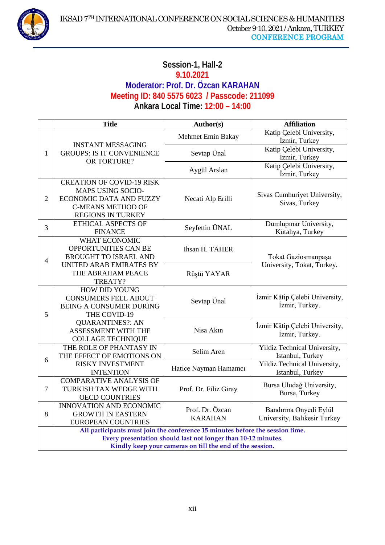

### **Session-1, Hall-2 9.10.2021 Moderator: Prof. Dr. Özcan KARAHAN Meeting ID: 840 5575 6023 / Passcode: 211099 Ankara Local Time: 12:00 – 14:00**

|                                                                               | <b>Title</b>                                                                                                                             | Author(s)                         | <b>Affiliation</b>                                    |  |
|-------------------------------------------------------------------------------|------------------------------------------------------------------------------------------------------------------------------------------|-----------------------------------|-------------------------------------------------------|--|
| $\mathbf{1}$                                                                  | <b>INSTANT MESSAGING</b><br><b>GROUPS: IS IT CONVENIENCE</b>                                                                             | Mehmet Emin Bakay                 | Katip Çelebi University,<br>İzmir, Turkey             |  |
|                                                                               |                                                                                                                                          | Sevtap Ünal                       | Katip Çelebi University,<br>İzmir, Turkey             |  |
|                                                                               | OR TORTURE?                                                                                                                              | Aygül Arslan                      | Katip Çelebi University,<br>İzmir, Turkey             |  |
| $\overline{2}$                                                                | <b>CREATION OF COVID-19 RISK</b><br><b>MAPS USING SOCIO-</b><br>ECONOMIC DATA AND FUZZY<br><b>C-MEANS METHOD OF</b><br>REGIONS IN TURKEY | Necati Alp Erilli                 | Sivas Cumhuriyet University,<br>Sivas, Turkey         |  |
| 3                                                                             | <b>ETHICAL ASPECTS OF</b><br><b>FINANCE</b>                                                                                              | Seyfettin ÜNAL                    | Dumlupinar University,<br>Kütahya, Turkey             |  |
| $\overline{4}$                                                                | <b>WHAT ECONOMIC</b><br>OPPORTUNITIES CAN BE<br><b>BROUGHT TO ISRAEL AND</b>                                                             | Ihsan H. TAHER                    | Tokat Gaziosmanpaşa                                   |  |
|                                                                               | UNITED ARAB EMIRATES BY<br>THE ABRAHAM PEACE<br>TREATY?                                                                                  | Rüştü YAYAR                       | University, Tokat, Turkey.                            |  |
| 5                                                                             | HOW DID YOUNG<br><b>CONSUMERS FEEL ABOUT</b><br><b>BEING A CONSUMER DURING</b><br>THE COVID-19                                           | Sevtap Ünal                       | İzmir Kâtip Çelebi University,<br>İzmir, Turkey.      |  |
|                                                                               | <b>QUARANTINES?: AN</b><br>ASSESSMENT WITH THE<br><b>COLLAGE TECHNIQUE</b>                                                               | Nisa Akın                         | İzmir Kâtip Çelebi University,<br>İzmir, Turkey.      |  |
|                                                                               | THE ROLE OF PHANTASY IN<br>THE EFFECT OF EMOTIONS ON                                                                                     | Selim Aren                        | Yildiz Technical University,<br>Istanbul, Turkey      |  |
| 6                                                                             | <b>RISKY INVESTMENT</b><br><b>INTENTION</b>                                                                                              | Hatice Nayman Hamamcı             | Yildiz Technical University,<br>Istanbul, Turkey      |  |
| $\overline{7}$                                                                | <b>COMPARATIVE ANALYSIS OF</b><br>TURKISH TAX WEDGE WITH<br><b>OECD COUNTRIES</b>                                                        | Prof. Dr. Filiz Giray             | Bursa Uludağ University,<br>Bursa, Turkey             |  |
| 8                                                                             | <b>INNOVATION AND ECONOMIC</b><br><b>GROWTH IN EASTERN</b><br><b>EUROPEAN COUNTRIES</b>                                                  | Prof. Dr. Özcan<br><b>KARAHAN</b> | Bandırma Onyedi Eylül<br>University, Balıkesir Turkey |  |
| All participants must join the conference 15 minutes before the session time. |                                                                                                                                          |                                   |                                                       |  |
|                                                                               | Every presentation should last not longer than 10-12 minutes.<br>Kindly keep your cameras on till the end of the session.                |                                   |                                                       |  |
|                                                                               |                                                                                                                                          |                                   |                                                       |  |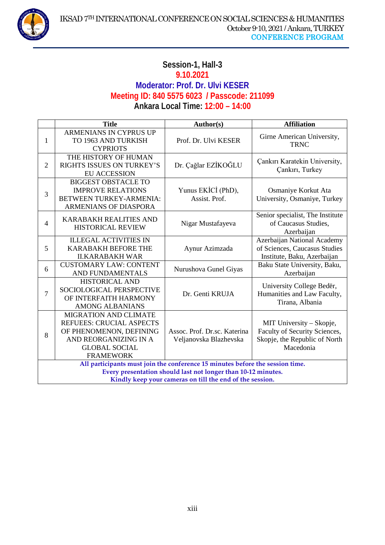### **Session-1, Hall-3 9.10.2021 Moderator: Prof. Dr. Ulvi KESER Meeting ID: 840 5575 6023 / Passcode: 211099 Ankara Local Time: 12:00 – 14:00**

|                                                                                                                                                                                                            | <b>Title</b>                                                                                                                                                    | Author(s)                                              | <b>Affiliation</b>                                                                                      |
|------------------------------------------------------------------------------------------------------------------------------------------------------------------------------------------------------------|-----------------------------------------------------------------------------------------------------------------------------------------------------------------|--------------------------------------------------------|---------------------------------------------------------------------------------------------------------|
| 1                                                                                                                                                                                                          | <b>ARMENIANS IN CYPRUS UP</b><br>TO 1963 AND TURKISH<br><b>CYPRIOTS</b>                                                                                         | Prof. Dr. Ulvi KESER                                   | Girne American University,<br><b>TRNC</b>                                                               |
| $\overline{2}$                                                                                                                                                                                             | THE HISTORY OF HUMAN<br>RIGHTS ISSUES ON TURKEY'S<br><b>EU ACCESSION</b>                                                                                        | Dr. Çağlar EZİKOĞLU                                    | Çankırı Karatekin University,<br>Çankırı, Turkey                                                        |
| 3                                                                                                                                                                                                          | <b>BIGGEST OBSTACLE TO</b><br><b>IMPROVE RELATIONS</b><br>BETWEEN TURKEY-ARMENIA:<br><b>ARMENIANS OF DIASPORA</b>                                               | Yunus EKİCİ (PhD),<br>Assist. Prof.                    | Osmaniye Korkut Ata<br>University, Osmaniye, Turkey                                                     |
| $\overline{4}$                                                                                                                                                                                             | <b>KARABAKH REALITIES AND</b><br><b>HISTORICAL REVIEW</b>                                                                                                       | Nigar Mustafayeva                                      | Senior specialist, The Institute<br>of Caucasus Studies,<br>Azerbaijan                                  |
| 5                                                                                                                                                                                                          | <b>ILLEGAL ACTIVITIES IN</b><br><b>KARABAKH BEFORE THE</b><br><b>II.KARABAKH WAR</b>                                                                            | Aynur Azimzada                                         | Azerbaijan National Academy<br>of Sciences, Caucasus Studies<br>Institute, Baku, Azerbaijan             |
| 6                                                                                                                                                                                                          | <b>CUSTOMARY LAW: CONTENT</b><br>AND FUNDAMENTALS                                                                                                               | Nurushova Gunel Giyas                                  | Baku State University, Baku,<br>Azerbaijan                                                              |
| 7                                                                                                                                                                                                          | <b>HISTORICAL AND</b><br>SOCIOLOGICAL PERSPECTIVE<br>OF INTERFAITH HARMONY<br><b>AMONG ALBANIANS</b>                                                            | Dr. Genti KRUJA                                        | University College Bedër,<br>Humanities and Law Faculty,<br>Tirana, Albania                             |
| 8                                                                                                                                                                                                          | <b>MIGRATION AND CLIMATE</b><br><b>REFUEES: CRUCIAL ASPECTS</b><br>OF PHENOMENON, DEFINING<br>AND REORGANIZING IN A<br><b>GLOBAL SOCIAL</b><br><b>FRAMEWORK</b> | Assoc. Prof. Dr.sc. Katerina<br>Veljanovska Blazhevska | MIT University – Skopje,<br>Faculty of Security Sciences,<br>Skopje, the Republic of North<br>Macedonia |
| All participants must join the conference 15 minutes before the session time.<br>Every presentation should last not longer than 10-12 minutes.<br>Kindly keep your cameras on till the end of the session. |                                                                                                                                                                 |                                                        |                                                                                                         |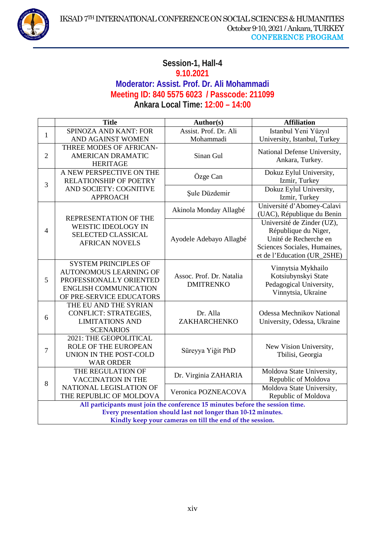

### **Session-1, Hall-4 9.10.2021 Moderator: Assist. Prof. Dr. Ali Mohammadi Meeting ID: 840 5575 6023 / Passcode: 211099 Ankara Local Time: 12:00 – 14:00**

|                                                                               | <b>Title</b>                                                                                                                                        | Author(s)                                    | <b>Affiliation</b>                                                                                                                         |
|-------------------------------------------------------------------------------|-----------------------------------------------------------------------------------------------------------------------------------------------------|----------------------------------------------|--------------------------------------------------------------------------------------------------------------------------------------------|
| $\mathbf{1}$                                                                  | SPINOZA AND KANT: FOR                                                                                                                               | Assist. Prof. Dr. Ali                        | Istanbul Yeni Yüzyıl                                                                                                                       |
|                                                                               | AND AGAINST WOMEN                                                                                                                                   | Mohammadi                                    | University, Istanbul, Turkey                                                                                                               |
| $\overline{2}$                                                                | THREE MODES OF AFRICAN-<br><b>AMERICAN DRAMATIC</b><br><b>HERITAGE</b>                                                                              | Sinan Gul                                    | National Defense University,<br>Ankara, Turkey.                                                                                            |
| 3                                                                             | A NEW PERSPECTIVE ON THE<br><b>RELATIONSHIP OF POETRY</b><br>AND SOCIETY: COGNITIVE<br><b>APPROACH</b>                                              | Özge Can                                     | Dokuz Eylul University,<br>Izmir, Turkey                                                                                                   |
|                                                                               |                                                                                                                                                     | Şule Düzdemir                                | Dokuz Eylul University,<br>Izmir, Turkey                                                                                                   |
|                                                                               | REPRESENTATION OF THE<br><b>WEISTIC IDEOLOGY IN</b><br>SELECTED CLASSICAL<br><b>AFRICAN NOVELS</b>                                                  | Akinola Monday Allagbé                       | Université d'Abomey-Calavi<br>(UAC), République du Benin                                                                                   |
| $\overline{4}$                                                                |                                                                                                                                                     | Ayodele Adebayo Allagbé                      | Université de Zinder (UZ),<br>République du Niger,<br>Unité de Recherche en<br>Sciences Sociales, Humaines,<br>et de l'Education (UR_2SHE) |
| 5                                                                             | <b>SYSTEM PRINCIPLES OF</b><br><b>AUTONOMOUS LEARNING OF</b><br>PROFESSIONALLY ORIENTED<br><b>ENGLISH COMMUNICATION</b><br>OF PRE-SERVICE EDUCATORS | Assoc. Prof. Dr. Natalia<br><b>DMITRENKO</b> | Vinnytsia Mykhailo<br>Kotsiubynskyi State<br>Pedagogical University,<br>Vinnytsia, Ukraine                                                 |
| 6                                                                             | THE EU AND THE SYRIAN<br><b>CONFLICT: STRATEGIES,</b><br><b>LIMITATIONS AND</b><br><b>SCENARIOS</b>                                                 | Dr. Alla<br>ZAKHARCHENKO                     | <b>Odessa Mechnikov National</b><br>University, Odessa, Ukraine                                                                            |
| $\overline{7}$                                                                | 2021: THE GEOPOLITICAL<br><b>ROLE OF THE EUROPEAN</b><br>UNION IN THE POST-COLD<br><b>WAR ORDER</b>                                                 | Süreyya Yiğit PhD                            | New Vision University,<br>Tbilisi, Georgia                                                                                                 |
| 8                                                                             | THE REGULATION OF<br><b>VACCINATION IN THE</b>                                                                                                      | Dr. Virginia ZAHARIA                         | Moldova State University,<br>Republic of Moldova                                                                                           |
|                                                                               | NATIONAL LEGISLATION OF<br>THE REPUBLIC OF MOLDOVA                                                                                                  | Veronica POZNEACOVA                          | Moldova State University,<br>Republic of Moldova                                                                                           |
| All participants must join the conference 15 minutes before the session time. |                                                                                                                                                     |                                              |                                                                                                                                            |
| Every presentation should last not longer than 10-12 minutes.                 |                                                                                                                                                     |                                              |                                                                                                                                            |
| Kindly keep your cameras on till the end of the session.                      |                                                                                                                                                     |                                              |                                                                                                                                            |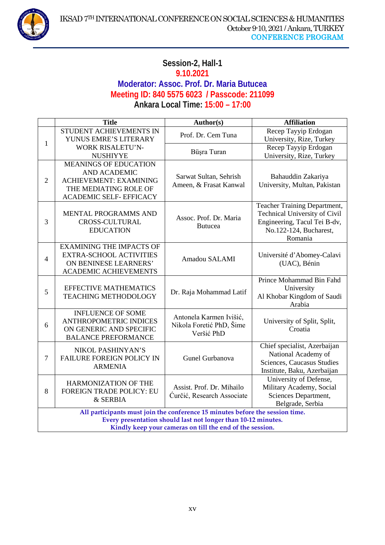

### **Session-2, Hall-1 9.10.2021 Moderator: Assoc. Prof. Dr. Maria Butucea Meeting ID: 840 5575 6023 / Passcode: 211099 Ankara Local Time: 15:00 – 17:00**

|                                                                                                                                                                                                            | <b>Title</b>                                                                                                                                    | Author(s)                                                         | <b>Affiliation</b>                                                                                                                 |
|------------------------------------------------------------------------------------------------------------------------------------------------------------------------------------------------------------|-------------------------------------------------------------------------------------------------------------------------------------------------|-------------------------------------------------------------------|------------------------------------------------------------------------------------------------------------------------------------|
| $\mathbf{1}$                                                                                                                                                                                               | STUDENT ACHIEVEMENTS IN<br>YUNUS EMRE'S LITERARY                                                                                                | Prof. Dr. Cem Tuna                                                | Recep Tayyip Erdogan<br>University, Rize, Turkey                                                                                   |
|                                                                                                                                                                                                            | <b>WORK RISALETU'N-</b><br><b>NUSHIYYE</b>                                                                                                      | Büşra Turan                                                       | Recep Tayyip Erdogan<br>University, Rize, Turkey                                                                                   |
| $\overline{2}$                                                                                                                                                                                             | <b>MEANINGS OF EDUCATION</b><br><b>AND ACADEMIC</b><br><b>ACHIEVEMENT: EXAMINING</b><br>THE MEDIATING ROLE OF<br><b>ACADEMIC SELF- EFFICACY</b> | Sarwat Sultan, Sehrish<br>Ameen, & Frasat Kanwal                  | Bahauddin Zakariya<br>University, Multan, Pakistan                                                                                 |
| 3                                                                                                                                                                                                          | MENTAL PROGRAMMS AND<br><b>CROSS-CULTURAL</b><br><b>EDUCATION</b>                                                                               | Assoc. Prof. Dr. Maria<br><b>Butucea</b>                          | Teacher Training Department,<br>Technical University of Civil<br>Engineering, Tacul Tei B-dv,<br>No.122-124, Bucharest,<br>Romania |
| $\overline{4}$                                                                                                                                                                                             | <b>EXAMINING THE IMPACTS OF</b><br><b>EXTRA-SCHOOL ACTIVITIES</b><br>ON BENINESE LEARNERS'<br><b>ACADEMIC ACHIEVEMENTS</b>                      | Amadou SALAMI                                                     | Université d'Abomey-Calavi<br>(UAC), Bénin                                                                                         |
| 5                                                                                                                                                                                                          | <b>EFFECTIVE MATHEMATICS</b><br><b>TEACHING METHODOLOGY</b>                                                                                     | Dr. Raja Mohammad Latif                                           | Prince Mohammad Bin Fahd<br>University<br>Al Khobar Kingdom of Saudi<br>Arabia                                                     |
| 6                                                                                                                                                                                                          | <b>INFLUENCE OF SOME</b><br><b>ANTHROPOMETRIC INDICES</b><br>ON GENERIC AND SPECIFIC<br><b>BALANCE PREFORMANCE</b>                              | Antonela Karmen Ivišić,<br>Nikola Foretić PhD, Šime<br>Veršić PhD | University of Split, Split,<br>Croatia                                                                                             |
| $\overline{7}$                                                                                                                                                                                             | NIKOL PASHINYAN'S<br><b>FAILURE FOREIGN POLICY IN</b><br><b>ARMENIA</b>                                                                         | Gunel Gurbanova                                                   | Chief specialist, Azerbaijan<br>National Academy of<br>Sciences, Caucasus Studies<br>Institute, Baku, Azerbaijan                   |
| 8                                                                                                                                                                                                          | HARMONIZATION OF THE<br><b>FOREIGN TRADE POLICY: EU</b><br>& SERBIA                                                                             | Assist. Prof. Dr. Mihailo<br>Ćurčić, Research Associate           | University of Defense,<br>Military Academy, Social<br>Sciences Department,<br>Belgrade, Serbia                                     |
| All participants must join the conference 15 minutes before the session time.<br>Every presentation should last not longer than 10-12 minutes.<br>Kindly keep your cameras on till the end of the session. |                                                                                                                                                 |                                                                   |                                                                                                                                    |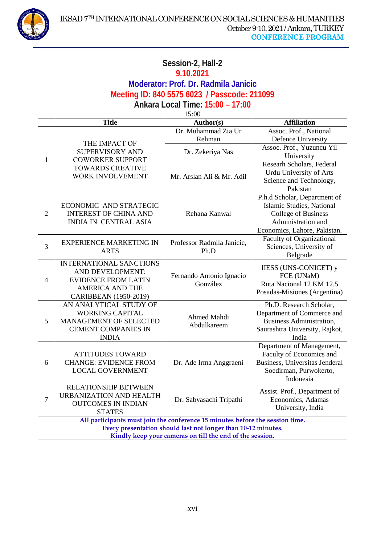

### **Session-2, Hall-2 9.10.2021 Moderator: Prof. Dr. Radmila Janicic Meeting ID: 840 5575 6023 / Passcode: 211099 Ankara Local Time: 15:00 – 17:00**

15:00

|                                                                               | <b>Title</b>                                                                                                      | Author(s)                            | <b>Affiliation</b>                  |
|-------------------------------------------------------------------------------|-------------------------------------------------------------------------------------------------------------------|--------------------------------------|-------------------------------------|
| 1                                                                             | THE IMPACT OF<br><b>SUPERVISORY AND</b><br><b>COWORKER SUPPORT</b><br><b>TOWARDS CREATIVE</b><br>WORK INVOLVEMENT | Dr. Muhammad Zia Ur                  | Assoc. Prof., National              |
|                                                                               |                                                                                                                   | Rehman                               | Defence University                  |
|                                                                               |                                                                                                                   | Dr. Zekeriya Nas                     | Assoc. Prof., Yuzuncu Yil           |
|                                                                               |                                                                                                                   |                                      | University                          |
|                                                                               |                                                                                                                   |                                      | Researh Scholars, Federal           |
|                                                                               |                                                                                                                   | Mr. Arslan Ali & Mr. Adil            | Urdu University of Arts             |
|                                                                               |                                                                                                                   |                                      | Science and Technology,<br>Pakistan |
|                                                                               |                                                                                                                   |                                      | P.h.d Scholar, Department of        |
|                                                                               | ECONOMIC AND STRATEGIC                                                                                            | Rehana Kanwal                        | Islamic Studies, National           |
| $\overline{2}$                                                                | <b>INTEREST OF CHINA AND</b>                                                                                      |                                      | <b>College of Business</b>          |
|                                                                               | <b>INDIA IN CENTRAL ASIA</b>                                                                                      |                                      | Administration and                  |
|                                                                               |                                                                                                                   |                                      | Economics, Lahore, Pakistan.        |
|                                                                               | <b>EXPERIENCE MARKETING IN</b>                                                                                    |                                      | <b>Faculty of Organizational</b>    |
| 3                                                                             | <b>ARTS</b>                                                                                                       | Professor Radmila Janicic,<br>Ph.D   | Sciences, University of             |
|                                                                               |                                                                                                                   |                                      | Belgrade                            |
|                                                                               | <b>INTERNATIONAL SANCTIONS</b>                                                                                    | Fernando Antonio Ignacio<br>González | <b>IIESS (UNS-CONICET) y</b>        |
|                                                                               | AND DEVELOPMENT:                                                                                                  |                                      | FCE (UNaM)                          |
| $\overline{4}$                                                                | <b>EVIDENCE FROM LATIN</b>                                                                                        |                                      | Ruta Nacional 12 KM 12.5            |
|                                                                               | <b>AMERICA AND THE</b>                                                                                            |                                      | Posadas-Misiones (Argentina)        |
|                                                                               | CARIBBEAN (1950-2019)<br>AN ANALYTICAL STUDY OF                                                                   |                                      | Ph.D. Research Scholar,             |
|                                                                               | <b>WORKING CAPITAL</b>                                                                                            | Ahmed Mahdi<br>Abdulkareem           | Department of Commerce and          |
| 5                                                                             | <b>MANAGEMENT OF SELECTED</b>                                                                                     |                                      | <b>Business Administration,</b>     |
|                                                                               | <b>CEMENT COMPANIES IN</b>                                                                                        |                                      | Saurashtra University, Rajkot,      |
|                                                                               | <b>INDIA</b>                                                                                                      |                                      | India                               |
|                                                                               |                                                                                                                   |                                      | Department of Management,           |
|                                                                               | <b>ATTITUDES TOWARD</b>                                                                                           | Dr. Ade Irma Anggraeni               | Faculty of Economics and            |
| 6                                                                             | <b>CHANGE: EVIDENCE FROM</b>                                                                                      |                                      | Business, Universitas Jenderal      |
|                                                                               | <b>LOCAL GOVERNMENT</b>                                                                                           |                                      | Soedirman, Purwokerto,              |
|                                                                               |                                                                                                                   |                                      | Indonesia                           |
| $\tau$                                                                        | RELATIONSHIP BETWEEN<br>URBANIZATION AND HEALTH                                                                   |                                      | Assist. Prof., Department of        |
|                                                                               | <b>OUTCOMES IN INDIAN</b>                                                                                         | Dr. Sabyasachi Tripathi              | Economics, Adamas                   |
|                                                                               | <b>STATES</b>                                                                                                     |                                      | University, India                   |
| All participants must join the conference 15 minutes before the session time. |                                                                                                                   |                                      |                                     |
| Every presentation should last not longer than 10-12 minutes.                 |                                                                                                                   |                                      |                                     |
| Kindly keep your cameras on till the end of the session.                      |                                                                                                                   |                                      |                                     |